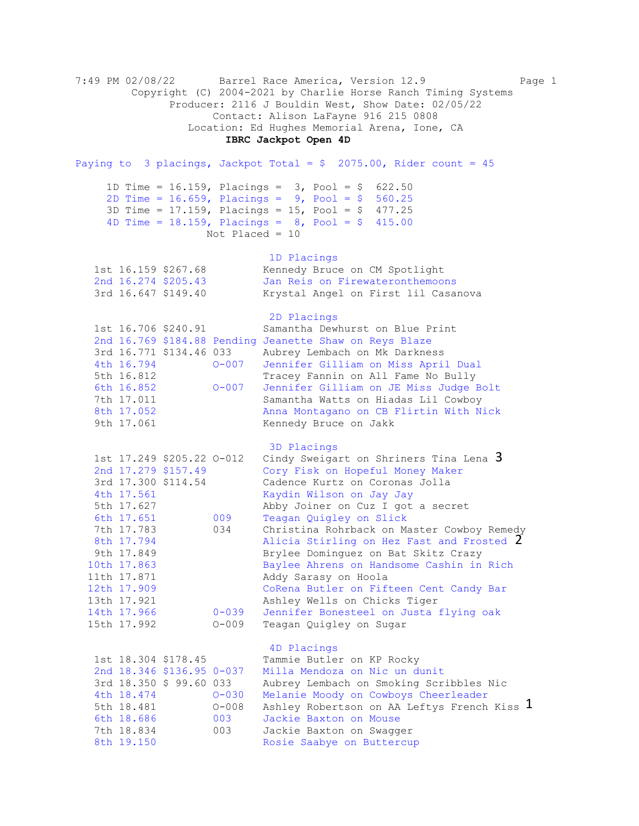7:49 PM 02/08/22 Barrel Race America, Version 12.9 Page 1 Copyright (C) 2004-2021 by Charlie Horse Ranch Timing Systems Producer: 2116 J Bouldin West, Show Date: 02/05/22 Contact: Alison LaFayne 916 215 0808 Location: Ed Hughes Memorial Arena, Ione, CA  **IBRC Jackpot Open 4D**  Paying to 3 placings, Jackpot Total =  $$2075.00$ , Rider count = 45 1D Time = 16.159, Placings = 3, Pool = \$ 622.50 2D Time = 16.659, Placings = 9, Pool = \$ 560.25 3D Time = 17.159, Placings = 15, Pool = \$ 477.25 4D Time =  $18.159$ , Placings =  $8$ , Pool =  $9$  415.00 Not Placed = 10 1D Placings<br>1st 16.159 \$267.68 Kennedy Bruce 1st 16.159 \$267.68 Kennedy Bruce on CM Spotlight<br>
2nd 16.274 \$205.43 Jan Reis on Firewateronthemool 2nd 16.274 \$205.43 Jan Reis on Firewateronthemoons 3rd 16.647 \$149.40 Krystal Angel on First lil Casanova 2D Placings 1st 16.706 \$240.91 Samantha Dewhurst on Blue Print 2nd 16.769 \$184.88 Pending Jeanette Shaw on Reys Blaze 3rd 16.771 \$134.46 033 Aubrey Lembach on Mk Darkness 4th 16.794 O-007 Jennifer Gilliam on Miss April Dual 5th 16.812 Tracey Fannin on All Fame No Bully<br>6th 16.852 0-007 Jennifer Gilliam on JE Miss Judge B 0-007 Jennifer Gilliam on JE Miss Judge Bolt 7th 17.011 Samantha Watts on Hiadas Lil Cowboy 8th 17.052 Anna Montagano on CB Flirtin With Nick 9th 17.061 Kennedy Bruce on Jakk 3D Placings 1st 17.249 \$205.22 0-012 Cindy Sweigart on Shriners Tina Lena 3 2nd 17.279 \$157.49 Cory Fisk on Hopeful Money Maker 3rd 17.300 \$114.54 Cadence Kurtz on Coronas Jolla 4th 17.561 Kaydin Wilson on Jay Jay 5th 17.627 Abby Joiner on Cuz I got a secret 6th 17.651 009 Teagan Quigley on Slick 7th 17.783 034 Christina Rohrback on Master Cowboy Remedy 8th 17.794 Micia Stirling on Hez Fast and Frosted 2 9th 17.849 Brylee Dominguez on Bat Skitz Crazy 10th 17.863 Baylee Ahrens on Handsome Cashin in Rich 11th 17.871 Addy Sarasy on Hoola 12th 17.909 CoRena Butler on Fifteen Cent Candy Bar 13th 17.921 Ashley Wells on Chicks Tiger 14th 17.966 0-039 Jennifer Bonesteel on Justa flying oak 15th 17.992 O-009 Teagan Quigley on Sugar 4D Placings 1st 18.304 \$178.45 Tammie Butler on KP Rocky 2nd 18.346 \$136.95 0-037 Milla Mendoza on Nic un dunit 3rd 18.350 \$ 99.60 033 Aubrey Lembach on Smoking Scribbles Nic 4th 18.474 O-030 Melanie Moody on Cowboys Cheerleader 5th 18.481 O-008 Ashley Robertson on AA Leftys French Kiss 6th 18.686 003 Jackie Baxton on Mouse 7th 18.834 003 Jackie Baxton on Swagger 8th 19.150 Rosie Saabye on Buttercup 1